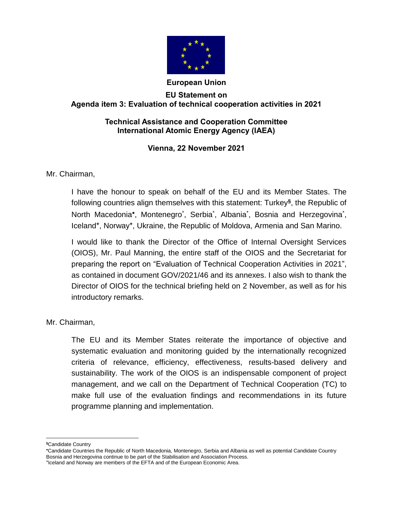

### **European Union**

# **EU Statement on Agenda item 3: Evaluation of technical cooperation activities in 2021**

## **Technical Assistance and Cooperation Committee International Atomic Energy Agency (IAEA)**

# **Vienna, 22 November 2021**

## Mr. Chairman,

I have the honour to speak on behalf of the EU and its Member States. The following countries align themselves with this statement: Turkey**§** , the Republic of North Macedonia\*, Montenegro\*, Serbia\*, Albania\*, Bosnia and Herzegovina\*, Iceland**<sup>+</sup>** , Norway**<sup>+</sup>** , Ukraine, the Republic of Moldova, Armenia and San Marino.

I would like to thank the Director of the Office of Internal Oversight Services (OIOS), Mr. Paul Manning, the entire staff of the OIOS and the Secretariat for preparing the report on "Evaluation of Technical Cooperation Activities in 2021", as contained in document GOV/2021/46 and its annexes. I also wish to thank the Director of OIOS for the technical briefing held on 2 November, as well as for his introductory remarks.

Mr. Chairman,

The EU and its Member States reiterate the importance of objective and systematic evaluation and monitoring guided by the internationally recognized criteria of relevance, efficiency, effectiveness, results-based delivery and sustainability. The work of the OIOS is an indispensable component of project management, and we call on the Department of Technical Cooperation (TC) to make full use of the evaluation findings and recommendations in its future programme planning and implementation.

 $\overline{a}$ **§**Candidate Country

Candidate Countries the Republic of North Macedonia, Montenegro, Serbia and Albania as well as potential Candidate Country Bosnia and Herzegovina continue to be part of the Stabilisation and Association Process.

**<sup>+</sup>** Iceland and Norway are members of the EFTA and of the European Economic Area.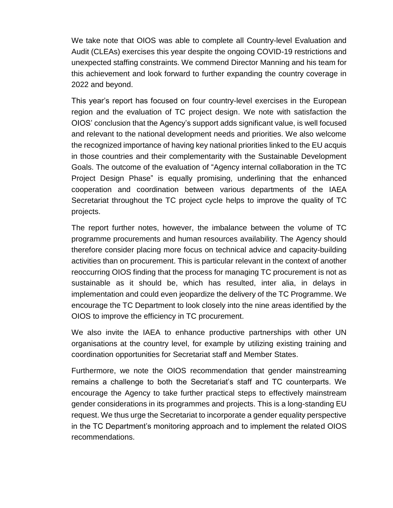We take note that OIOS was able to complete all Country-level Evaluation and Audit (CLEAs) exercises this year despite the ongoing COVID-19 restrictions and unexpected staffing constraints. We commend Director Manning and his team for this achievement and look forward to further expanding the country coverage in 2022 and beyond.

This year's report has focused on four country-level exercises in the European region and the evaluation of TC project design. We note with satisfaction the OIOS' conclusion that the Agency's support adds significant value, is well focused and relevant to the national development needs and priorities. We also welcome the recognized importance of having key national priorities linked to the EU acquis in those countries and their complementarity with the Sustainable Development Goals. The outcome of the evaluation of "Agency internal collaboration in the TC Project Design Phase" is equally promising, underlining that the enhanced cooperation and coordination between various departments of the IAEA Secretariat throughout the TC project cycle helps to improve the quality of TC projects.

The report further notes, however, the imbalance between the volume of TC programme procurements and human resources availability. The Agency should therefore consider placing more focus on technical advice and capacity-building activities than on procurement. This is particular relevant in the context of another reoccurring OIOS finding that the process for managing TC procurement is not as sustainable as it should be, which has resulted, inter alia, in delays in implementation and could even jeopardize the delivery of the TC Programme. We encourage the TC Department to look closely into the nine areas identified by the OIOS to improve the efficiency in TC procurement.

We also invite the IAEA to enhance productive partnerships with other UN organisations at the country level, for example by utilizing existing training and coordination opportunities for Secretariat staff and Member States.

Furthermore, we note the OIOS recommendation that gender mainstreaming remains a challenge to both the Secretariat's staff and TC counterparts. We encourage the Agency to take further practical steps to effectively mainstream gender considerations in its programmes and projects. This is a long-standing EU request. We thus urge the Secretariat to incorporate a gender equality perspective in the TC Department's monitoring approach and to implement the related OIOS recommendations.